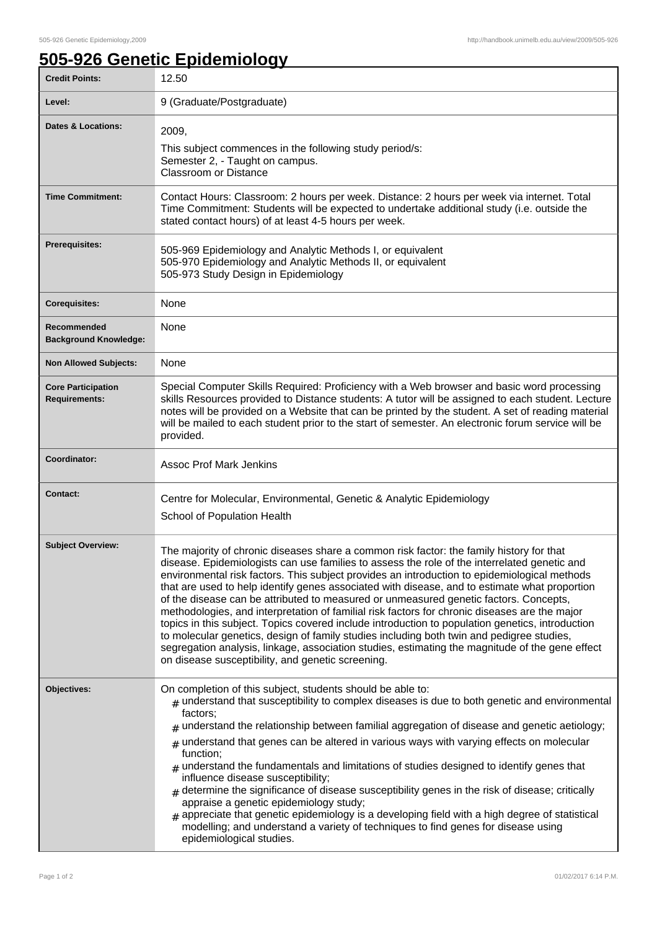٦

## **505-926 Genetic Epidemiology**

| <b>Credit Points:</b>                             | 12.50                                                                                                                                                                                                                                                                                                                                                                                                                                                                                                                                                                                                                                                                                                                                                                                                                                                                                                                                        |
|---------------------------------------------------|----------------------------------------------------------------------------------------------------------------------------------------------------------------------------------------------------------------------------------------------------------------------------------------------------------------------------------------------------------------------------------------------------------------------------------------------------------------------------------------------------------------------------------------------------------------------------------------------------------------------------------------------------------------------------------------------------------------------------------------------------------------------------------------------------------------------------------------------------------------------------------------------------------------------------------------------|
| Level:                                            | 9 (Graduate/Postgraduate)                                                                                                                                                                                                                                                                                                                                                                                                                                                                                                                                                                                                                                                                                                                                                                                                                                                                                                                    |
| <b>Dates &amp; Locations:</b>                     | 2009,<br>This subject commences in the following study period/s:<br>Semester 2, - Taught on campus.<br><b>Classroom or Distance</b>                                                                                                                                                                                                                                                                                                                                                                                                                                                                                                                                                                                                                                                                                                                                                                                                          |
| <b>Time Commitment:</b>                           | Contact Hours: Classroom: 2 hours per week. Distance: 2 hours per week via internet. Total<br>Time Commitment: Students will be expected to undertake additional study (i.e. outside the<br>stated contact hours) of at least 4-5 hours per week.                                                                                                                                                                                                                                                                                                                                                                                                                                                                                                                                                                                                                                                                                            |
| <b>Prerequisites:</b>                             | 505-969 Epidemiology and Analytic Methods I, or equivalent<br>505-970 Epidemiology and Analytic Methods II, or equivalent<br>505-973 Study Design in Epidemiology                                                                                                                                                                                                                                                                                                                                                                                                                                                                                                                                                                                                                                                                                                                                                                            |
| <b>Corequisites:</b>                              | None                                                                                                                                                                                                                                                                                                                                                                                                                                                                                                                                                                                                                                                                                                                                                                                                                                                                                                                                         |
| Recommended<br><b>Background Knowledge:</b>       | None                                                                                                                                                                                                                                                                                                                                                                                                                                                                                                                                                                                                                                                                                                                                                                                                                                                                                                                                         |
| <b>Non Allowed Subjects:</b>                      | None                                                                                                                                                                                                                                                                                                                                                                                                                                                                                                                                                                                                                                                                                                                                                                                                                                                                                                                                         |
| <b>Core Participation</b><br><b>Requirements:</b> | Special Computer Skills Required: Proficiency with a Web browser and basic word processing<br>skills Resources provided to Distance students: A tutor will be assigned to each student. Lecture<br>notes will be provided on a Website that can be printed by the student. A set of reading material<br>will be mailed to each student prior to the start of semester. An electronic forum service will be<br>provided.                                                                                                                                                                                                                                                                                                                                                                                                                                                                                                                      |
| Coordinator:                                      | <b>Assoc Prof Mark Jenkins</b>                                                                                                                                                                                                                                                                                                                                                                                                                                                                                                                                                                                                                                                                                                                                                                                                                                                                                                               |
| <b>Contact:</b>                                   | Centre for Molecular, Environmental, Genetic & Analytic Epidemiology<br>School of Population Health                                                                                                                                                                                                                                                                                                                                                                                                                                                                                                                                                                                                                                                                                                                                                                                                                                          |
| <b>Subject Overview:</b>                          | The majority of chronic diseases share a common risk factor: the family history for that<br>disease. Epidemiologists can use families to assess the role of the interrelated genetic and<br>environmental risk factors. This subject provides an introduction to epidemiological methods<br>that are used to help identify genes associated with disease, and to estimate what proportion<br>of the disease can be attributed to measured or unmeasured genetic factors. Concepts,<br>methodologies, and interpretation of familial risk factors for chronic diseases are the major<br>topics in this subject. Topics covered include introduction to population genetics, introduction<br>to molecular genetics, design of family studies including both twin and pedigree studies,<br>segregation analysis, linkage, association studies, estimating the magnitude of the gene effect<br>on disease susceptibility, and genetic screening. |
| Objectives:                                       | On completion of this subject, students should be able to:<br>$#$ understand that susceptibility to complex diseases is due to both genetic and environmental<br>factors:<br>$#$ understand the relationship between familial aggregation of disease and genetic aetiology;<br>$#$ understand that genes can be altered in various ways with varying effects on molecular<br>function;<br>$#$ understand the fundamentals and limitations of studies designed to identify genes that<br>influence disease susceptibility;<br>$*$ determine the significance of disease susceptibility genes in the risk of disease; critically<br>appraise a genetic epidemiology study;<br>$_{\#}$ appreciate that genetic epidemiology is a developing field with a high degree of statistical<br>modelling; and understand a variety of techniques to find genes for disease using<br>epidemiological studies.                                            |